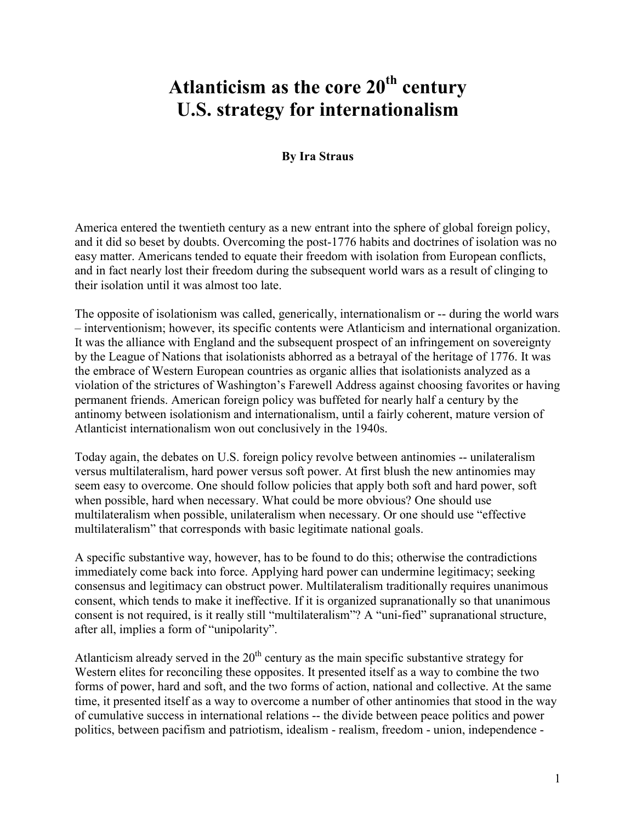# **Atlanticism as the core 20th century U.S. strategy for internationalism**

## **By Ira Straus**

America entered the twentieth century as a new entrant into the sphere of global foreign policy, and it did so beset by doubts. Overcoming the post-1776 habits and doctrines of isolation was no easy matter. Americans tended to equate their freedom with isolation from European conflicts, and in fact nearly lost their freedom during the subsequent world wars as a result of clinging to their isolation until it was almost too late.

The opposite of isolationism was called, generically, internationalism or -- during the world wars – interventionism; however, its specific contents were Atlanticism and international organization. It was the alliance with England and the subsequent prospect of an infringement on sovereignty by the League of Nations that isolationists abhorred as a betrayal of the heritage of 1776. It was the embrace of Western European countries as organic allies that isolationists analyzed as a violation of the strictures of Washington's Farewell Address against choosing favorites or having permanent friends. American foreign policy was buffeted for nearly half a century by the antinomy between isolationism and internationalism, until a fairly coherent, mature version of Atlanticist internationalism won out conclusively in the 1940s.

Today again, the debates on U.S. foreign policy revolve between antinomies -- unilateralism versus multilateralism, hard power versus soft power. At first blush the new antinomies may seem easy to overcome. One should follow policies that apply both soft and hard power, soft when possible, hard when necessary. What could be more obvious? One should use multilateralism when possible, unilateralism when necessary. Or one should use "effective multilateralism" that corresponds with basic legitimate national goals.

A specific substantive way, however, has to be found to do this; otherwise the contradictions immediately come back into force. Applying hard power can undermine legitimacy; seeking consensus and legitimacy can obstruct power. Multilateralism traditionally requires unanimous consent, which tends to make it ineffective. If it is organized supranationally so that unanimous consent is not required, is it really still "multilateralism"? A "uni-fied" supranational structure, after all, implies a form of "unipolarity".

Atlanticism already served in the  $20<sup>th</sup>$  century as the main specific substantive strategy for Western elites for reconciling these opposites. It presented itself as a way to combine the two forms of power, hard and soft, and the two forms of action, national and collective. At the same time, it presented itself as a way to overcome a number of other antinomies that stood in the way of cumulative success in international relations -- the divide between peace politics and power politics, between pacifism and patriotism, idealism - realism, freedom - union, independence -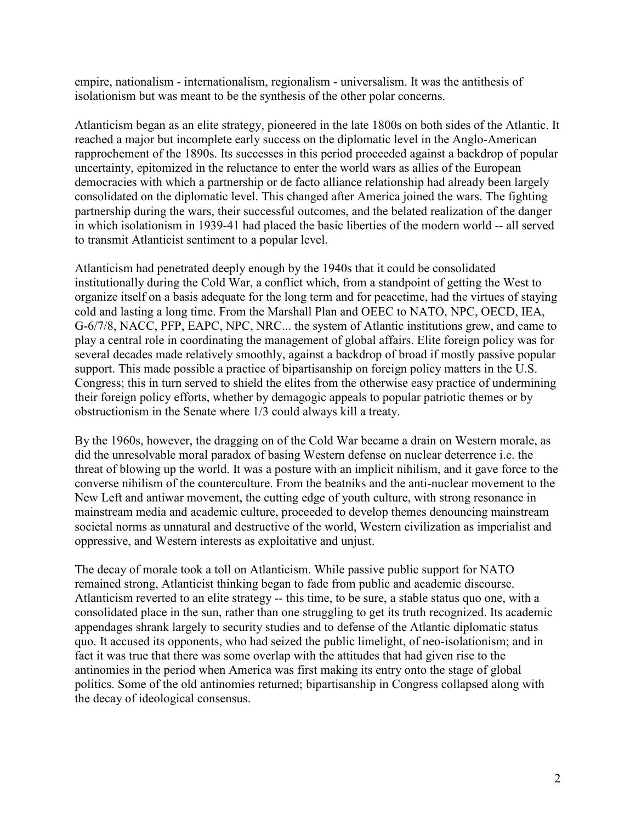empire, nationalism - internationalism, regionalism - universalism. It was the antithesis of isolationism but was meant to be the synthesis of the other polar concerns.

Atlanticism began as an elite strategy, pioneered in the late 1800s on both sides of the Atlantic. It reached a major but incomplete early success on the diplomatic level in the Anglo-American rapprochement of the 1890s. Its successes in this period proceeded against a backdrop of popular uncertainty, epitomized in the reluctance to enter the world wars as allies of the European democracies with which a partnership or de facto alliance relationship had already been largely consolidated on the diplomatic level. This changed after America joined the wars. The fighting partnership during the wars, their successful outcomes, and the belated realization of the danger in which isolationism in 1939-41 had placed the basic liberties of the modern world -- all served to transmit Atlanticist sentiment to a popular level.

Atlanticism had penetrated deeply enough by the 1940s that it could be consolidated institutionally during the Cold War, a conflict which, from a standpoint of getting the West to organize itself on a basis adequate for the long term and for peacetime, had the virtues of staying cold and lasting a long time. From the Marshall Plan and OEEC to NATO, NPC, OECD, IEA, G-6/7/8, NACC, PFP, EAPC, NPC, NRC... the system of Atlantic institutions grew, and came to play a central role in coordinating the management of global affairs. Elite foreign policy was for several decades made relatively smoothly, against a backdrop of broad if mostly passive popular support. This made possible a practice of bipartisanship on foreign policy matters in the U.S. Congress; this in turn served to shield the elites from the otherwise easy practice of undermining their foreign policy efforts, whether by demagogic appeals to popular patriotic themes or by obstructionism in the Senate where 1/3 could always kill a treaty.

By the 1960s, however, the dragging on of the Cold War became a drain on Western morale, as did the unresolvable moral paradox of basing Western defense on nuclear deterrence i.e. the threat of blowing up the world. It was a posture with an implicit nihilism, and it gave force to the converse nihilism of the counterculture. From the beatniks and the anti-nuclear movement to the New Left and antiwar movement, the cutting edge of youth culture, with strong resonance in mainstream media and academic culture, proceeded to develop themes denouncing mainstream societal norms as unnatural and destructive of the world, Western civilization as imperialist and oppressive, and Western interests as exploitative and unjust.

The decay of morale took a toll on Atlanticism. While passive public support for NATO remained strong, Atlanticist thinking began to fade from public and academic discourse. Atlanticism reverted to an elite strategy -- this time, to be sure, a stable status quo one, with a consolidated place in the sun, rather than one struggling to get its truth recognized. Its academic appendages shrank largely to security studies and to defense of the Atlantic diplomatic status quo. It accused its opponents, who had seized the public limelight, of neo-isolationism; and in fact it was true that there was some overlap with the attitudes that had given rise to the antinomies in the period when America was first making its entry onto the stage of global politics. Some of the old antinomies returned; bipartisanship in Congress collapsed along with the decay of ideological consensus.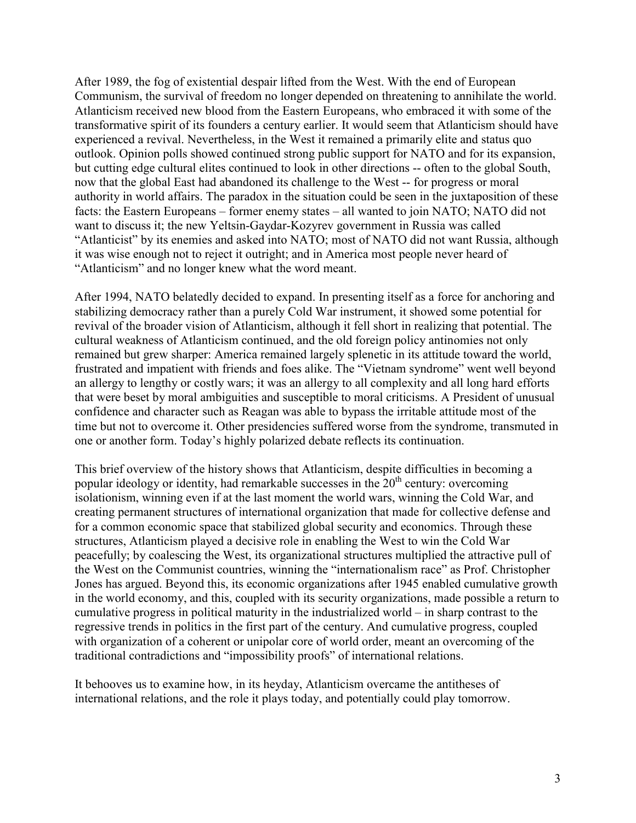After 1989, the fog of existential despair lifted from the West. With the end of European Communism, the survival of freedom no longer depended on threatening to annihilate the world. Atlanticism received new blood from the Eastern Europeans, who embraced it with some of the transformative spirit of its founders a century earlier. It would seem that Atlanticism should have experienced a revival. Nevertheless, in the West it remained a primarily elite and status quo outlook. Opinion polls showed continued strong public support for NATO and for its expansion, but cutting edge cultural elites continued to look in other directions -- often to the global South, now that the global East had abandoned its challenge to the West -- for progress or moral authority in world affairs. The paradox in the situation could be seen in the juxtaposition of these facts: the Eastern Europeans – former enemy states – all wanted to join NATO; NATO did not want to discuss it; the new Yeltsin-Gaydar-Kozyrev government in Russia was called "Atlanticist" by its enemies and asked into NATO; most of NATO did not want Russia, although it was wise enough not to reject it outright; and in America most people never heard of "Atlanticism" and no longer knew what the word meant.

After 1994, NATO belatedly decided to expand. In presenting itself as a force for anchoring and stabilizing democracy rather than a purely Cold War instrument, it showed some potential for revival of the broader vision of Atlanticism, although it fell short in realizing that potential. The cultural weakness of Atlanticism continued, and the old foreign policy antinomies not only remained but grew sharper: America remained largely splenetic in its attitude toward the world, frustrated and impatient with friends and foes alike. The "Vietnam syndrome" went well beyond an allergy to lengthy or costly wars; it was an allergy to all complexity and all long hard efforts that were beset by moral ambiguities and susceptible to moral criticisms. A President of unusual confidence and character such as Reagan was able to bypass the irritable attitude most of the time but not to overcome it. Other presidencies suffered worse from the syndrome, transmuted in one or another form. Today's highly polarized debate reflects its continuation.

This brief overview of the history shows that Atlanticism, despite difficulties in becoming a popular ideology or identity, had remarkable successes in the  $20<sup>th</sup>$  century: overcoming isolationism, winning even if at the last moment the world wars, winning the Cold War, and creating permanent structures of international organization that made for collective defense and for a common economic space that stabilized global security and economics. Through these structures, Atlanticism played a decisive role in enabling the West to win the Cold War peacefully; by coalescing the West, its organizational structures multiplied the attractive pull of the West on the Communist countries, winning the "internationalism race" as Prof. Christopher Jones has argued. Beyond this, its economic organizations after 1945 enabled cumulative growth in the world economy, and this, coupled with its security organizations, made possible a return to cumulative progress in political maturity in the industrialized world – in sharp contrast to the regressive trends in politics in the first part of the century. And cumulative progress, coupled with organization of a coherent or unipolar core of world order, meant an overcoming of the traditional contradictions and "impossibility proofs" of international relations.

It behooves us to examine how, in its heyday, Atlanticism overcame the antitheses of international relations, and the role it plays today, and potentially could play tomorrow.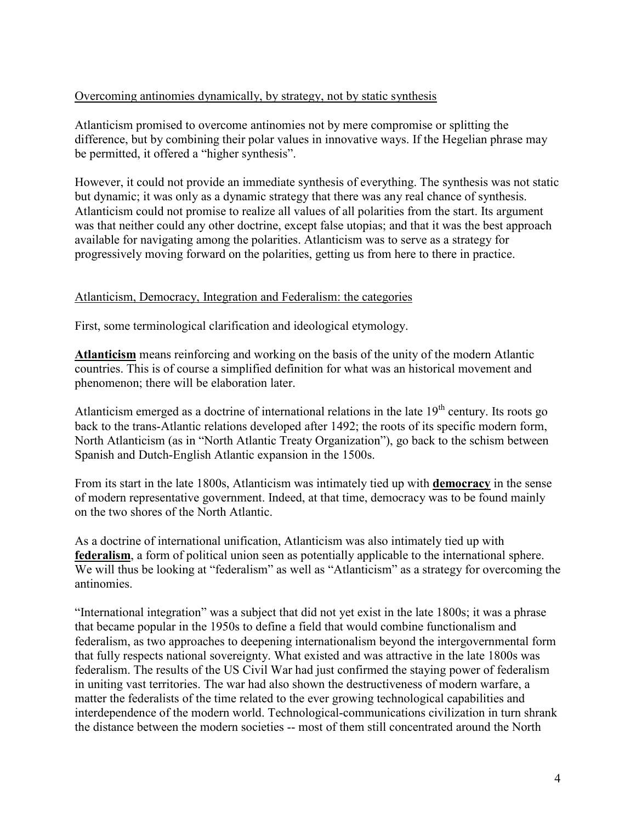# Overcoming antinomies dynamically, by strategy, not by static synthesis

Atlanticism promised to overcome antinomies not by mere compromise or splitting the difference, but by combining their polar values in innovative ways. If the Hegelian phrase may be permitted, it offered a "higher synthesis".

However, it could not provide an immediate synthesis of everything. The synthesis was not static but dynamic; it was only as a dynamic strategy that there was any real chance of synthesis. Atlanticism could not promise to realize all values of all polarities from the start. Its argument was that neither could any other doctrine, except false utopias; and that it was the best approach available for navigating among the polarities. Atlanticism was to serve as a strategy for progressively moving forward on the polarities, getting us from here to there in practice.

## Atlanticism, Democracy, Integration and Federalism: the categories

First, some terminological clarification and ideological etymology.

**Atlanticism** means reinforcing and working on the basis of the unity of the modern Atlantic countries. This is of course a simplified definition for what was an historical movement and phenomenon; there will be elaboration later.

Atlanticism emerged as a doctrine of international relations in the late  $19<sup>th</sup>$  century. Its roots go back to the trans-Atlantic relations developed after 1492; the roots of its specific modern form, North Atlanticism (as in "North Atlantic Treaty Organization"), go back to the schism between Spanish and Dutch-English Atlantic expansion in the 1500s.

From its start in the late 1800s, Atlanticism was intimately tied up with **democracy** in the sense of modern representative government. Indeed, at that time, democracy was to be found mainly on the two shores of the North Atlantic.

As a doctrine of international unification, Atlanticism was also intimately tied up with **federalism**, a form of political union seen as potentially applicable to the international sphere. We will thus be looking at "federalism" as well as "Atlanticism" as a strategy for overcoming the antinomies.

"International integration" was a subject that did not yet exist in the late 1800s; it was a phrase that became popular in the 1950s to define a field that would combine functionalism and federalism, as two approaches to deepening internationalism beyond the intergovernmental form that fully respects national sovereignty. What existed and was attractive in the late 1800s was federalism. The results of the US Civil War had just confirmed the staying power of federalism in uniting vast territories. The war had also shown the destructiveness of modern warfare, a matter the federalists of the time related to the ever growing technological capabilities and interdependence of the modern world. Technological-communications civilization in turn shrank the distance between the modern societies -- most of them still concentrated around the North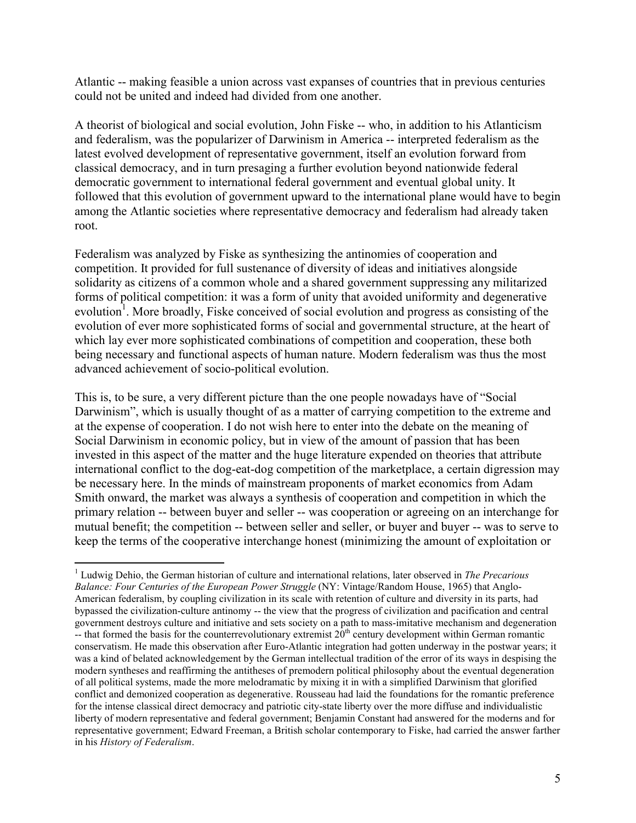Atlantic -- making feasible a union across vast expanses of countries that in previous centuries could not be united and indeed had divided from one another.

A theorist of biological and social evolution, John Fiske -- who, in addition to his Atlanticism and federalism, was the popularizer of Darwinism in America -- interpreted federalism as the latest evolved development of representative government, itself an evolution forward from classical democracy, and in turn presaging a further evolution beyond nationwide federal democratic government to international federal government and eventual global unity. It followed that this evolution of government upward to the international plane would have to begin among the Atlantic societies where representative democracy and federalism had already taken root.

Federalism was analyzed by Fiske as synthesizing the antinomies of cooperation and competition. It provided for full sustenance of diversity of ideas and initiatives alongside solidarity as citizens of a common whole and a shared government suppressing any militarized forms of political competition: it was a form of unity that avoided uniformity and degenerative evolution<sup>1</sup>. More broadly, Fiske conceived of social evolution and progress as consisting of the evolution of ever more sophisticated forms of social and governmental structure, at the heart of which lay ever more sophisticated combinations of competition and cooperation, these both being necessary and functional aspects of human nature. Modern federalism was thus the most advanced achievement of socio-political evolution.

This is, to be sure, a very different picture than the one people nowadays have of "Social Darwinism", which is usually thought of as a matter of carrying competition to the extreme and at the expense of cooperation. I do not wish here to enter into the debate on the meaning of Social Darwinism in economic policy, but in view of the amount of passion that has been invested in this aspect of the matter and the huge literature expended on theories that attribute international conflict to the dog-eat-dog competition of the marketplace, a certain digression may be necessary here. In the minds of mainstream proponents of market economics from Adam Smith onward, the market was always a synthesis of cooperation and competition in which the primary relation -- between buyer and seller -- was cooperation or agreeing on an interchange for mutual benefit; the competition -- between seller and seller, or buyer and buyer -- was to serve to keep the terms of the cooperative interchange honest (minimizing the amount of exploitation or

 $\overline{a}$ 1 Ludwig Dehio, the German historian of culture and international relations, later observed in *The Precarious Balance: Four Centuries of the European Power Struggle* (NY: Vintage/Random House, 1965) that Anglo-American federalism, by coupling civilization in its scale with retention of culture and diversity in its parts, had bypassed the civilization-culture antinomy -- the view that the progress of civilization and pacification and central government destroys culture and initiative and sets society on a path to mass-imitative mechanism and degeneration -- that formed the basis for the counterrevolutionary extremist  $20<sup>th</sup>$  century development within German romantic conservatism. He made this observation after Euro-Atlantic integration had gotten underway in the postwar years; it was a kind of belated acknowledgement by the German intellectual tradition of the error of its ways in despising the modern syntheses and reaffirming the antitheses of premodern political philosophy about the eventual degeneration of all political systems, made the more melodramatic by mixing it in with a simplified Darwinism that glorified conflict and demonized cooperation as degenerative. Rousseau had laid the foundations for the romantic preference for the intense classical direct democracy and patriotic city-state liberty over the more diffuse and individualistic liberty of modern representative and federal government; Benjamin Constant had answered for the moderns and for representative government; Edward Freeman, a British scholar contemporary to Fiske, had carried the answer farther in his *History of Federalism*.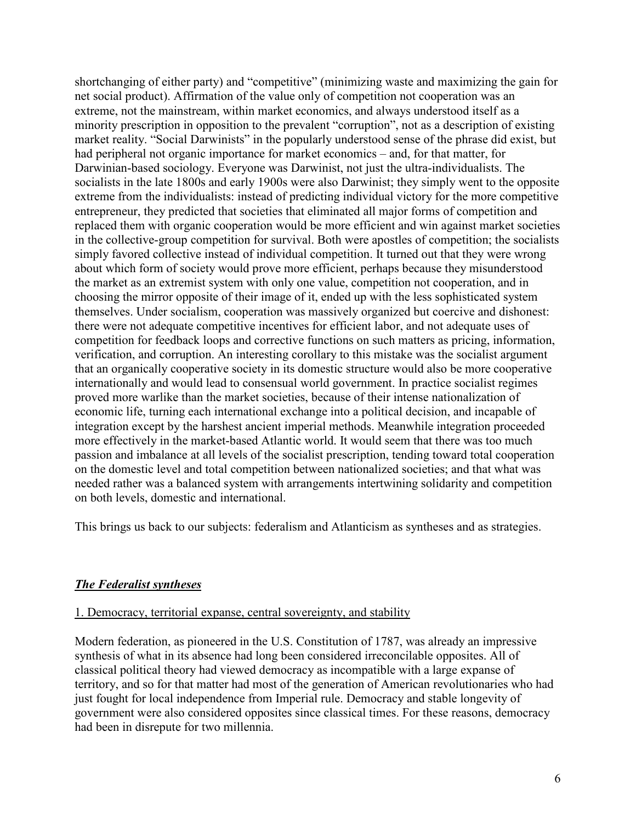shortchanging of either party) and "competitive" (minimizing waste and maximizing the gain for net social product). Affirmation of the value only of competition not cooperation was an extreme, not the mainstream, within market economics, and always understood itself as a minority prescription in opposition to the prevalent "corruption", not as a description of existing market reality. "Social Darwinists" in the popularly understood sense of the phrase did exist, but had peripheral not organic importance for market economics – and, for that matter, for Darwinian-based sociology. Everyone was Darwinist, not just the ultra-individualists. The socialists in the late 1800s and early 1900s were also Darwinist; they simply went to the opposite extreme from the individualists: instead of predicting individual victory for the more competitive entrepreneur, they predicted that societies that eliminated all major forms of competition and replaced them with organic cooperation would be more efficient and win against market societies in the collective-group competition for survival. Both were apostles of competition; the socialists simply favored collective instead of individual competition. It turned out that they were wrong about which form of society would prove more efficient, perhaps because they misunderstood the market as an extremist system with only one value, competition not cooperation, and in choosing the mirror opposite of their image of it, ended up with the less sophisticated system themselves. Under socialism, cooperation was massively organized but coercive and dishonest: there were not adequate competitive incentives for efficient labor, and not adequate uses of competition for feedback loops and corrective functions on such matters as pricing, information, verification, and corruption. An interesting corollary to this mistake was the socialist argument that an organically cooperative society in its domestic structure would also be more cooperative internationally and would lead to consensual world government. In practice socialist regimes proved more warlike than the market societies, because of their intense nationalization of economic life, turning each international exchange into a political decision, and incapable of integration except by the harshest ancient imperial methods. Meanwhile integration proceeded more effectively in the market-based Atlantic world. It would seem that there was too much passion and imbalance at all levels of the socialist prescription, tending toward total cooperation on the domestic level and total competition between nationalized societies; and that what was needed rather was a balanced system with arrangements intertwining solidarity and competition on both levels, domestic and international.

This brings us back to our subjects: federalism and Atlanticism as syntheses and as strategies.

# *The Federalist syntheses*

### 1. Democracy, territorial expanse, central sovereignty, and stability

Modern federation, as pioneered in the U.S. Constitution of 1787, was already an impressive synthesis of what in its absence had long been considered irreconcilable opposites. All of classical political theory had viewed democracy as incompatible with a large expanse of territory, and so for that matter had most of the generation of American revolutionaries who had just fought for local independence from Imperial rule. Democracy and stable longevity of government were also considered opposites since classical times. For these reasons, democracy had been in disrepute for two millennia.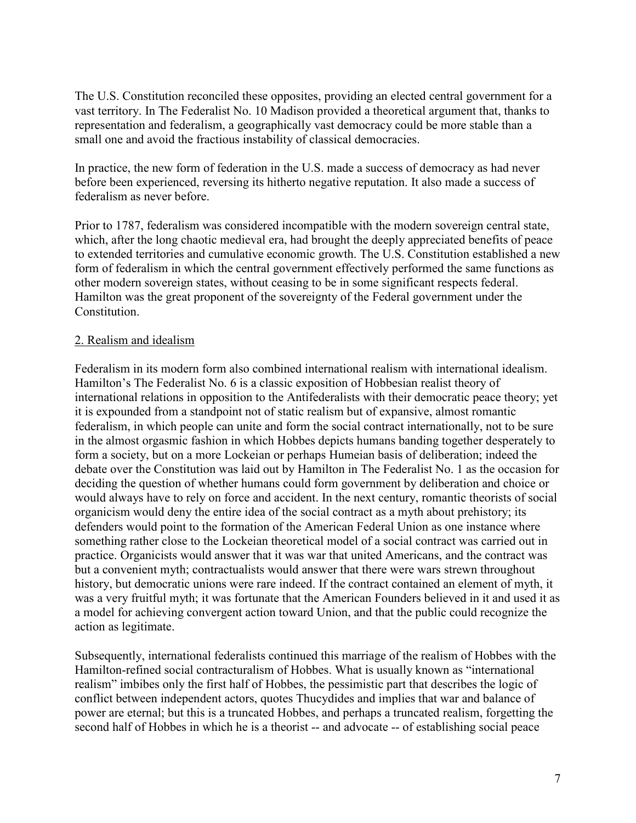The U.S. Constitution reconciled these opposites, providing an elected central government for a vast territory. In The Federalist No. 10 Madison provided a theoretical argument that, thanks to representation and federalism, a geographically vast democracy could be more stable than a small one and avoid the fractious instability of classical democracies.

In practice, the new form of federation in the U.S. made a success of democracy as had never before been experienced, reversing its hitherto negative reputation. It also made a success of federalism as never before.

Prior to 1787, federalism was considered incompatible with the modern sovereign central state, which, after the long chaotic medieval era, had brought the deeply appreciated benefits of peace to extended territories and cumulative economic growth. The U.S. Constitution established a new form of federalism in which the central government effectively performed the same functions as other modern sovereign states, without ceasing to be in some significant respects federal. Hamilton was the great proponent of the sovereignty of the Federal government under the Constitution.

# 2. Realism and idealism

Federalism in its modern form also combined international realism with international idealism. Hamilton's The Federalist No. 6 is a classic exposition of Hobbesian realist theory of international relations in opposition to the Antifederalists with their democratic peace theory; yet it is expounded from a standpoint not of static realism but of expansive, almost romantic federalism, in which people can unite and form the social contract internationally, not to be sure in the almost orgasmic fashion in which Hobbes depicts humans banding together desperately to form a society, but on a more Lockeian or perhaps Humeian basis of deliberation; indeed the debate over the Constitution was laid out by Hamilton in The Federalist No. 1 as the occasion for deciding the question of whether humans could form government by deliberation and choice or would always have to rely on force and accident. In the next century, romantic theorists of social organicism would deny the entire idea of the social contract as a myth about prehistory; its defenders would point to the formation of the American Federal Union as one instance where something rather close to the Lockeian theoretical model of a social contract was carried out in practice. Organicists would answer that it was war that united Americans, and the contract was but a convenient myth; contractualists would answer that there were wars strewn throughout history, but democratic unions were rare indeed. If the contract contained an element of myth, it was a very fruitful myth; it was fortunate that the American Founders believed in it and used it as a model for achieving convergent action toward Union, and that the public could recognize the action as legitimate.

Subsequently, international federalists continued this marriage of the realism of Hobbes with the Hamilton-refined social contracturalism of Hobbes. What is usually known as "international realism" imbibes only the first half of Hobbes, the pessimistic part that describes the logic of conflict between independent actors, quotes Thucydides and implies that war and balance of power are eternal; but this is a truncated Hobbes, and perhaps a truncated realism, forgetting the second half of Hobbes in which he is a theorist -- and advocate -- of establishing social peace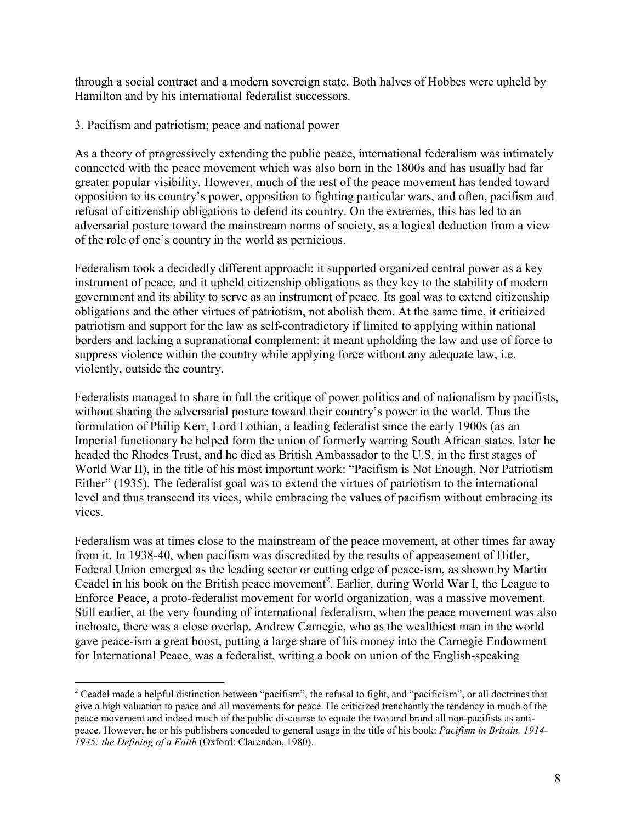through a social contract and a modern sovereign state. Both halves of Hobbes were upheld by Hamilton and by his international federalist successors.

## 3. Pacifism and patriotism; peace and national power

As a theory of progressively extending the public peace, international federalism was intimately connected with the peace movement which was also born in the 1800s and has usually had far greater popular visibility. However, much of the rest of the peace movement has tended toward opposition to its country's power, opposition to fighting particular wars, and often, pacifism and refusal of citizenship obligations to defend its country. On the extremes, this has led to an adversarial posture toward the mainstream norms of society, as a logical deduction from a view of the role of one's country in the world as pernicious.

Federalism took a decidedly different approach: it supported organized central power as a key instrument of peace, and it upheld citizenship obligations as they key to the stability of modern government and its ability to serve as an instrument of peace. Its goal was to extend citizenship obligations and the other virtues of patriotism, not abolish them. At the same time, it criticized patriotism and support for the law as self-contradictory if limited to applying within national borders and lacking a supranational complement: it meant upholding the law and use of force to suppress violence within the country while applying force without any adequate law, i.e. violently, outside the country.

Federalists managed to share in full the critique of power politics and of nationalism by pacifists, without sharing the adversarial posture toward their country's power in the world. Thus the formulation of Philip Kerr, Lord Lothian, a leading federalist since the early 1900s (as an Imperial functionary he helped form the union of formerly warring South African states, later he headed the Rhodes Trust, and he died as British Ambassador to the U.S. in the first stages of World War II), in the title of his most important work: "Pacifism is Not Enough, Nor Patriotism Either" (1935). The federalist goal was to extend the virtues of patriotism to the international level and thus transcend its vices, while embracing the values of pacifism without embracing its vices.

Federalism was at times close to the mainstream of the peace movement, at other times far away from it. In 1938-40, when pacifism was discredited by the results of appeasement of Hitler, Federal Union emerged as the leading sector or cutting edge of peace-ism, as shown by Martin Ceadel in his book on the British peace movement<sup>2</sup>. Earlier, during World War I, the League to Enforce Peace, a proto-federalist movement for world organization, was a massive movement. Still earlier, at the very founding of international federalism, when the peace movement was also inchoate, there was a close overlap. Andrew Carnegie, who as the wealthiest man in the world gave peace-ism a great boost, putting a large share of his money into the Carnegie Endowment for International Peace, was a federalist, writing a book on union of the English-speaking

<sup>&</sup>lt;sup>2</sup> Ceadel made a helpful distinction between "pacifism", the refusal to fight, and "pacificism", or all doctrines that give a high valuation to peace and all movements for peace. He criticized trenchantly the tendency in much of the peace movement and indeed much of the public discourse to equate the two and brand all non-pacifists as antipeace. However, he or his publishers conceded to general usage in the title of his book: *Pacifism in Britain, 1914- 1945: the Defining of a Faith* (Oxford: Clarendon, 1980).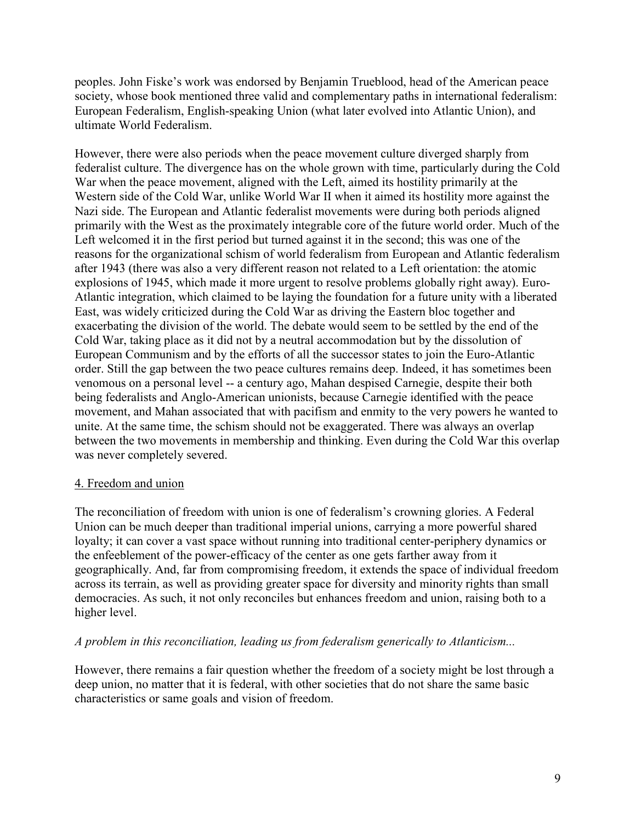peoples. John Fiske's work was endorsed by Benjamin Trueblood, head of the American peace society, whose book mentioned three valid and complementary paths in international federalism: European Federalism, English-speaking Union (what later evolved into Atlantic Union), and ultimate World Federalism.

However, there were also periods when the peace movement culture diverged sharply from federalist culture. The divergence has on the whole grown with time, particularly during the Cold War when the peace movement, aligned with the Left, aimed its hostility primarily at the Western side of the Cold War, unlike World War II when it aimed its hostility more against the Nazi side. The European and Atlantic federalist movements were during both periods aligned primarily with the West as the proximately integrable core of the future world order. Much of the Left welcomed it in the first period but turned against it in the second; this was one of the reasons for the organizational schism of world federalism from European and Atlantic federalism after 1943 (there was also a very different reason not related to a Left orientation: the atomic explosions of 1945, which made it more urgent to resolve problems globally right away). Euro-Atlantic integration, which claimed to be laying the foundation for a future unity with a liberated East, was widely criticized during the Cold War as driving the Eastern bloc together and exacerbating the division of the world. The debate would seem to be settled by the end of the Cold War, taking place as it did not by a neutral accommodation but by the dissolution of European Communism and by the efforts of all the successor states to join the Euro-Atlantic order. Still the gap between the two peace cultures remains deep. Indeed, it has sometimes been venomous on a personal level -- a century ago, Mahan despised Carnegie, despite their both being federalists and Anglo-American unionists, because Carnegie identified with the peace movement, and Mahan associated that with pacifism and enmity to the very powers he wanted to unite. At the same time, the schism should not be exaggerated. There was always an overlap between the two movements in membership and thinking. Even during the Cold War this overlap was never completely severed.

# 4. Freedom and union

The reconciliation of freedom with union is one of federalism's crowning glories. A Federal Union can be much deeper than traditional imperial unions, carrying a more powerful shared loyalty; it can cover a vast space without running into traditional center-periphery dynamics or the enfeeblement of the power-efficacy of the center as one gets farther away from it geographically. And, far from compromising freedom, it extends the space of individual freedom across its terrain, as well as providing greater space for diversity and minority rights than small democracies. As such, it not only reconciles but enhances freedom and union, raising both to a higher level.

### *A problem in this reconciliation, leading us from federalism generically to Atlanticism...*

However, there remains a fair question whether the freedom of a society might be lost through a deep union, no matter that it is federal, with other societies that do not share the same basic characteristics or same goals and vision of freedom.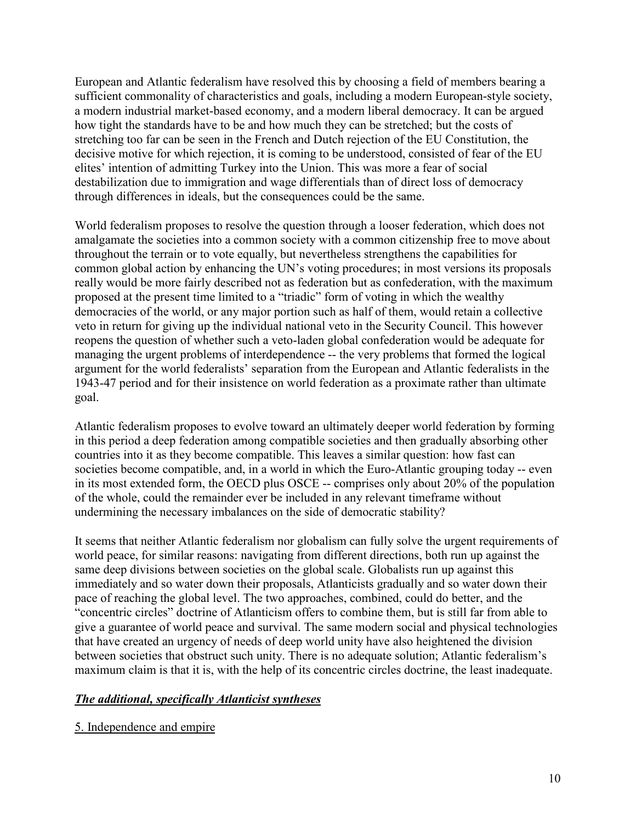European and Atlantic federalism have resolved this by choosing a field of members bearing a sufficient commonality of characteristics and goals, including a modern European-style society, a modern industrial market-based economy, and a modern liberal democracy. It can be argued how tight the standards have to be and how much they can be stretched; but the costs of stretching too far can be seen in the French and Dutch rejection of the EU Constitution, the decisive motive for which rejection, it is coming to be understood, consisted of fear of the EU elites' intention of admitting Turkey into the Union. This was more a fear of social destabilization due to immigration and wage differentials than of direct loss of democracy through differences in ideals, but the consequences could be the same.

World federalism proposes to resolve the question through a looser federation, which does not amalgamate the societies into a common society with a common citizenship free to move about throughout the terrain or to vote equally, but nevertheless strengthens the capabilities for common global action by enhancing the UN's voting procedures; in most versions its proposals really would be more fairly described not as federation but as confederation, with the maximum proposed at the present time limited to a "triadic" form of voting in which the wealthy democracies of the world, or any major portion such as half of them, would retain a collective veto in return for giving up the individual national veto in the Security Council. This however reopens the question of whether such a veto-laden global confederation would be adequate for managing the urgent problems of interdependence -- the very problems that formed the logical argument for the world federalists' separation from the European and Atlantic federalists in the 1943-47 period and for their insistence on world federation as a proximate rather than ultimate goal.

Atlantic federalism proposes to evolve toward an ultimately deeper world federation by forming in this period a deep federation among compatible societies and then gradually absorbing other countries into it as they become compatible. This leaves a similar question: how fast can societies become compatible, and, in a world in which the Euro-Atlantic grouping today -- even in its most extended form, the OECD plus OSCE -- comprises only about 20% of the population of the whole, could the remainder ever be included in any relevant timeframe without undermining the necessary imbalances on the side of democratic stability?

It seems that neither Atlantic federalism nor globalism can fully solve the urgent requirements of world peace, for similar reasons: navigating from different directions, both run up against the same deep divisions between societies on the global scale. Globalists run up against this immediately and so water down their proposals, Atlanticists gradually and so water down their pace of reaching the global level. The two approaches, combined, could do better, and the "concentric circles" doctrine of Atlanticism offers to combine them, but is still far from able to give a guarantee of world peace and survival. The same modern social and physical technologies that have created an urgency of needs of deep world unity have also heightened the division between societies that obstruct such unity. There is no adequate solution; Atlantic federalism's maximum claim is that it is, with the help of its concentric circles doctrine, the least inadequate.

# *The additional, specifically Atlanticist syntheses*

5. Independence and empire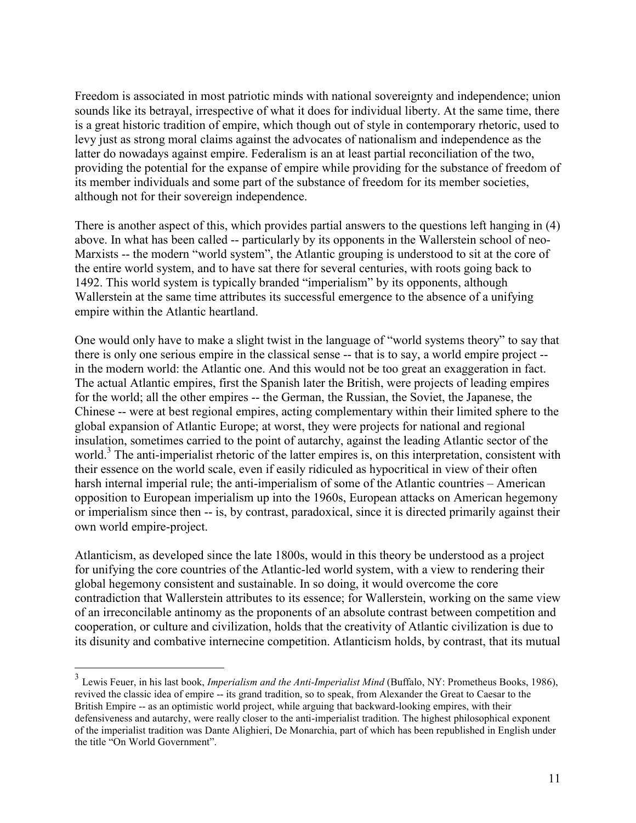Freedom is associated in most patriotic minds with national sovereignty and independence; union sounds like its betrayal, irrespective of what it does for individual liberty. At the same time, there is a great historic tradition of empire, which though out of style in contemporary rhetoric, used to levy just as strong moral claims against the advocates of nationalism and independence as the latter do nowadays against empire. Federalism is an at least partial reconciliation of the two, providing the potential for the expanse of empire while providing for the substance of freedom of its member individuals and some part of the substance of freedom for its member societies, although not for their sovereign independence.

There is another aspect of this, which provides partial answers to the questions left hanging in (4) above. In what has been called -- particularly by its opponents in the Wallerstein school of neo-Marxists -- the modern "world system", the Atlantic grouping is understood to sit at the core of the entire world system, and to have sat there for several centuries, with roots going back to 1492. This world system is typically branded "imperialism" by its opponents, although Wallerstein at the same time attributes its successful emergence to the absence of a unifying empire within the Atlantic heartland.

One would only have to make a slight twist in the language of "world systems theory" to say that there is only one serious empire in the classical sense -- that is to say, a world empire project - in the modern world: the Atlantic one. And this would not be too great an exaggeration in fact. The actual Atlantic empires, first the Spanish later the British, were projects of leading empires for the world; all the other empires -- the German, the Russian, the Soviet, the Japanese, the Chinese -- were at best regional empires, acting complementary within their limited sphere to the global expansion of Atlantic Europe; at worst, they were projects for national and regional insulation, sometimes carried to the point of autarchy, against the leading Atlantic sector of the world.<sup>3</sup> The anti-imperialist rhetoric of the latter empires is, on this interpretation, consistent with their essence on the world scale, even if easily ridiculed as hypocritical in view of their often harsh internal imperial rule; the anti-imperialism of some of the Atlantic countries – American opposition to European imperialism up into the 1960s, European attacks on American hegemony or imperialism since then -- is, by contrast, paradoxical, since it is directed primarily against their own world empire-project.

Atlanticism, as developed since the late 1800s, would in this theory be understood as a project for unifying the core countries of the Atlantic-led world system, with a view to rendering their global hegemony consistent and sustainable. In so doing, it would overcome the core contradiction that Wallerstein attributes to its essence; for Wallerstein, working on the same view of an irreconcilable antinomy as the proponents of an absolute contrast between competition and cooperation, or culture and civilization, holds that the creativity of Atlantic civilization is due to its disunity and combative internecine competition. Atlanticism holds, by contrast, that its mutual

 3 Lewis Feuer, in his last book, *Imperialism and the Anti-Imperialist Mind* (Buffalo, NY: Prometheus Books, 1986), revived the classic idea of empire -- its grand tradition, so to speak, from Alexander the Great to Caesar to the British Empire -- as an optimistic world project, while arguing that backward-looking empires, with their defensiveness and autarchy, were really closer to the anti-imperialist tradition. The highest philosophical exponent of the imperialist tradition was Dante Alighieri, De Monarchia, part of which has been republished in English under the title "On World Government".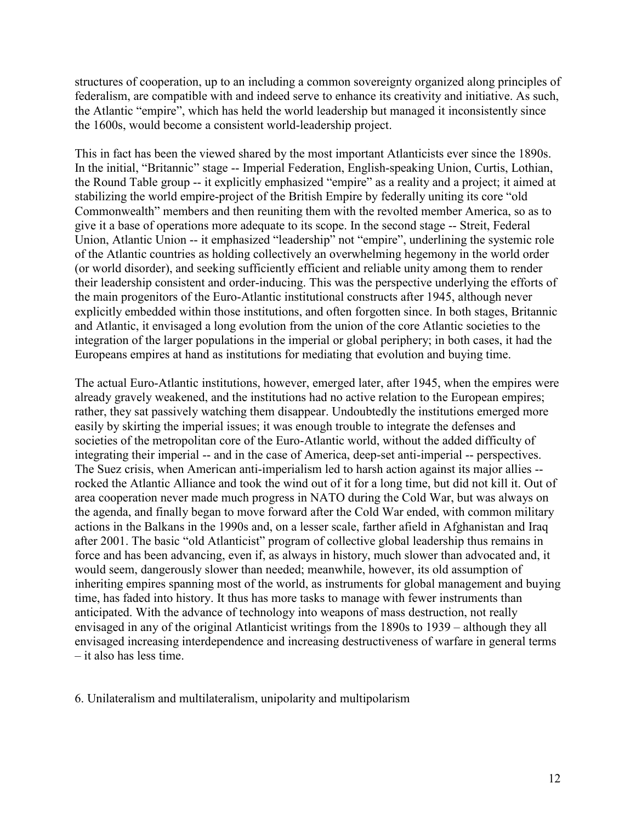structures of cooperation, up to an including a common sovereignty organized along principles of federalism, are compatible with and indeed serve to enhance its creativity and initiative. As such, the Atlantic "empire", which has held the world leadership but managed it inconsistently since the 1600s, would become a consistent world-leadership project.

This in fact has been the viewed shared by the most important Atlanticists ever since the 1890s. In the initial, "Britannic" stage -- Imperial Federation, English-speaking Union, Curtis, Lothian, the Round Table group -- it explicitly emphasized "empire" as a reality and a project; it aimed at stabilizing the world empire-project of the British Empire by federally uniting its core "old Commonwealth" members and then reuniting them with the revolted member America, so as to give it a base of operations more adequate to its scope. In the second stage -- Streit, Federal Union, Atlantic Union -- it emphasized "leadership" not "empire", underlining the systemic role of the Atlantic countries as holding collectively an overwhelming hegemony in the world order (or world disorder), and seeking sufficiently efficient and reliable unity among them to render their leadership consistent and order-inducing. This was the perspective underlying the efforts of the main progenitors of the Euro-Atlantic institutional constructs after 1945, although never explicitly embedded within those institutions, and often forgotten since. In both stages, Britannic and Atlantic, it envisaged a long evolution from the union of the core Atlantic societies to the integration of the larger populations in the imperial or global periphery; in both cases, it had the Europeans empires at hand as institutions for mediating that evolution and buying time.

The actual Euro-Atlantic institutions, however, emerged later, after 1945, when the empires were already gravely weakened, and the institutions had no active relation to the European empires; rather, they sat passively watching them disappear. Undoubtedly the institutions emerged more easily by skirting the imperial issues; it was enough trouble to integrate the defenses and societies of the metropolitan core of the Euro-Atlantic world, without the added difficulty of integrating their imperial -- and in the case of America, deep-set anti-imperial -- perspectives. The Suez crisis, when American anti-imperialism led to harsh action against its major allies - rocked the Atlantic Alliance and took the wind out of it for a long time, but did not kill it. Out of area cooperation never made much progress in NATO during the Cold War, but was always on the agenda, and finally began to move forward after the Cold War ended, with common military actions in the Balkans in the 1990s and, on a lesser scale, farther afield in Afghanistan and Iraq after 2001. The basic "old Atlanticist" program of collective global leadership thus remains in force and has been advancing, even if, as always in history, much slower than advocated and, it would seem, dangerously slower than needed; meanwhile, however, its old assumption of inheriting empires spanning most of the world, as instruments for global management and buying time, has faded into history. It thus has more tasks to manage with fewer instruments than anticipated. With the advance of technology into weapons of mass destruction, not really envisaged in any of the original Atlanticist writings from the 1890s to 1939 – although they all envisaged increasing interdependence and increasing destructiveness of warfare in general terms – it also has less time.

6. Unilateralism and multilateralism, unipolarity and multipolarism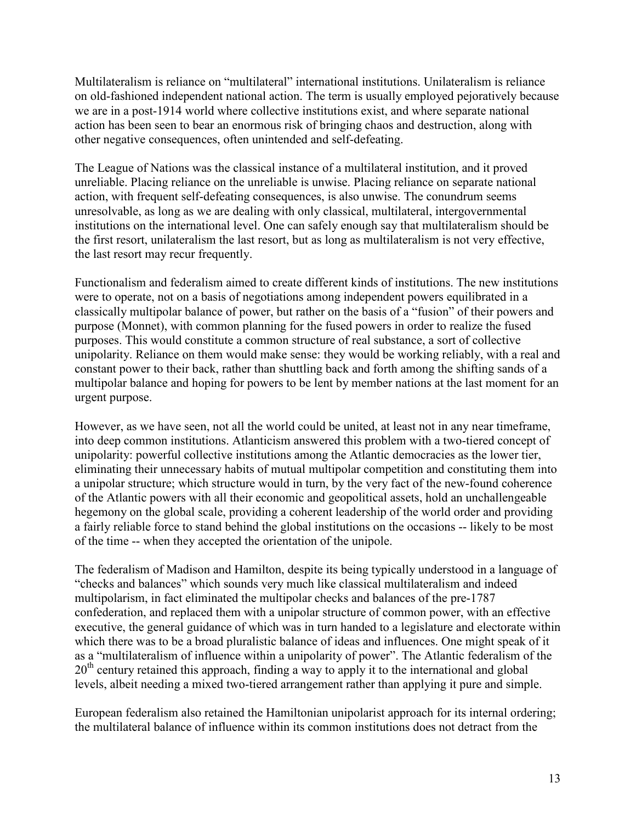Multilateralism is reliance on "multilateral" international institutions. Unilateralism is reliance on old-fashioned independent national action. The term is usually employed pejoratively because we are in a post-1914 world where collective institutions exist, and where separate national action has been seen to bear an enormous risk of bringing chaos and destruction, along with other negative consequences, often unintended and self-defeating.

The League of Nations was the classical instance of a multilateral institution, and it proved unreliable. Placing reliance on the unreliable is unwise. Placing reliance on separate national action, with frequent self-defeating consequences, is also unwise. The conundrum seems unresolvable, as long as we are dealing with only classical, multilateral, intergovernmental institutions on the international level. One can safely enough say that multilateralism should be the first resort, unilateralism the last resort, but as long as multilateralism is not very effective, the last resort may recur frequently.

Functionalism and federalism aimed to create different kinds of institutions. The new institutions were to operate, not on a basis of negotiations among independent powers equilibrated in a classically multipolar balance of power, but rather on the basis of a "fusion" of their powers and purpose (Monnet), with common planning for the fused powers in order to realize the fused purposes. This would constitute a common structure of real substance, a sort of collective unipolarity. Reliance on them would make sense: they would be working reliably, with a real and constant power to their back, rather than shuttling back and forth among the shifting sands of a multipolar balance and hoping for powers to be lent by member nations at the last moment for an urgent purpose.

However, as we have seen, not all the world could be united, at least not in any near timeframe, into deep common institutions. Atlanticism answered this problem with a two-tiered concept of unipolarity: powerful collective institutions among the Atlantic democracies as the lower tier, eliminating their unnecessary habits of mutual multipolar competition and constituting them into a unipolar structure; which structure would in turn, by the very fact of the new-found coherence of the Atlantic powers with all their economic and geopolitical assets, hold an unchallengeable hegemony on the global scale, providing a coherent leadership of the world order and providing a fairly reliable force to stand behind the global institutions on the occasions -- likely to be most of the time -- when they accepted the orientation of the unipole.

The federalism of Madison and Hamilton, despite its being typically understood in a language of "checks and balances" which sounds very much like classical multilateralism and indeed multipolarism, in fact eliminated the multipolar checks and balances of the pre-1787 confederation, and replaced them with a unipolar structure of common power, with an effective executive, the general guidance of which was in turn handed to a legislature and electorate within which there was to be a broad pluralistic balance of ideas and influences. One might speak of it as a "multilateralism of influence within a unipolarity of power". The Atlantic federalism of the 20<sup>th</sup> century retained this approach, finding a way to apply it to the international and global levels, albeit needing a mixed two-tiered arrangement rather than applying it pure and simple.

European federalism also retained the Hamiltonian unipolarist approach for its internal ordering; the multilateral balance of influence within its common institutions does not detract from the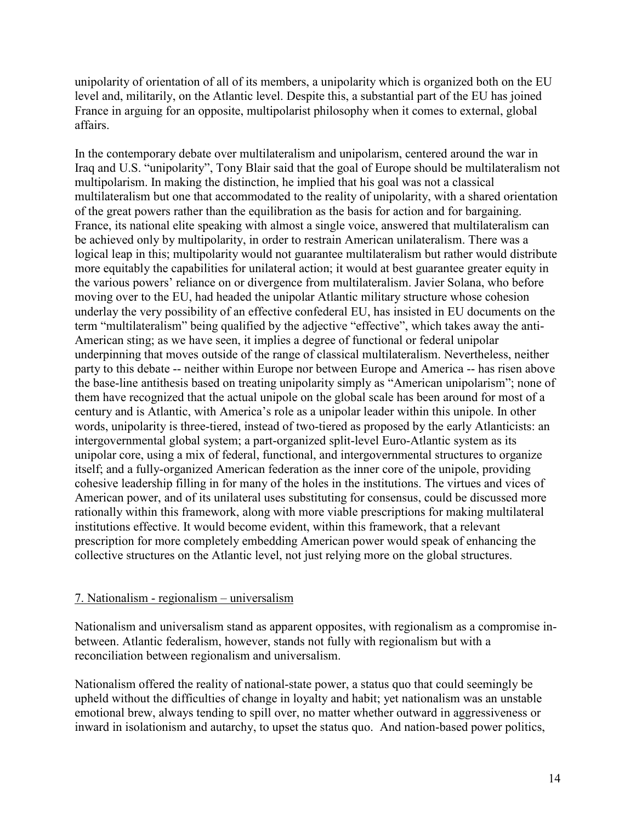unipolarity of orientation of all of its members, a unipolarity which is organized both on the EU level and, militarily, on the Atlantic level. Despite this, a substantial part of the EU has joined France in arguing for an opposite, multipolarist philosophy when it comes to external, global affairs.

In the contemporary debate over multilateralism and unipolarism, centered around the war in Iraq and U.S. "unipolarity", Tony Blair said that the goal of Europe should be multilateralism not multipolarism. In making the distinction, he implied that his goal was not a classical multilateralism but one that accommodated to the reality of unipolarity, with a shared orientation of the great powers rather than the equilibration as the basis for action and for bargaining. France, its national elite speaking with almost a single voice, answered that multilateralism can be achieved only by multipolarity, in order to restrain American unilateralism. There was a logical leap in this; multipolarity would not guarantee multilateralism but rather would distribute more equitably the capabilities for unilateral action; it would at best guarantee greater equity in the various powers' reliance on or divergence from multilateralism. Javier Solana, who before moving over to the EU, had headed the unipolar Atlantic military structure whose cohesion underlay the very possibility of an effective confederal EU, has insisted in EU documents on the term "multilateralism" being qualified by the adjective "effective", which takes away the anti-American sting; as we have seen, it implies a degree of functional or federal unipolar underpinning that moves outside of the range of classical multilateralism. Nevertheless, neither party to this debate -- neither within Europe nor between Europe and America -- has risen above the base-line antithesis based on treating unipolarity simply as "American unipolarism"; none of them have recognized that the actual unipole on the global scale has been around for most of a century and is Atlantic, with America's role as a unipolar leader within this unipole. In other words, unipolarity is three-tiered, instead of two-tiered as proposed by the early Atlanticists: an intergovernmental global system; a part-organized split-level Euro-Atlantic system as its unipolar core, using a mix of federal, functional, and intergovernmental structures to organize itself; and a fully-organized American federation as the inner core of the unipole, providing cohesive leadership filling in for many of the holes in the institutions. The virtues and vices of American power, and of its unilateral uses substituting for consensus, could be discussed more rationally within this framework, along with more viable prescriptions for making multilateral institutions effective. It would become evident, within this framework, that a relevant prescription for more completely embedding American power would speak of enhancing the collective structures on the Atlantic level, not just relying more on the global structures.

### 7. Nationalism - regionalism – universalism

Nationalism and universalism stand as apparent opposites, with regionalism as a compromise inbetween. Atlantic federalism, however, stands not fully with regionalism but with a reconciliation between regionalism and universalism.

Nationalism offered the reality of national-state power, a status quo that could seemingly be upheld without the difficulties of change in loyalty and habit; yet nationalism was an unstable emotional brew, always tending to spill over, no matter whether outward in aggressiveness or inward in isolationism and autarchy, to upset the status quo. And nation-based power politics,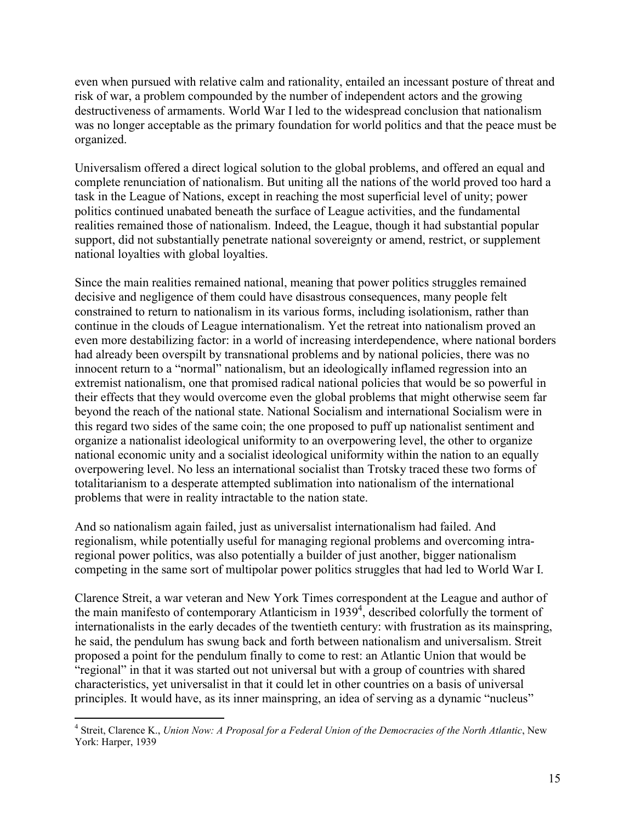even when pursued with relative calm and rationality, entailed an incessant posture of threat and risk of war, a problem compounded by the number of independent actors and the growing destructiveness of armaments. World War I led to the widespread conclusion that nationalism was no longer acceptable as the primary foundation for world politics and that the peace must be organized.

Universalism offered a direct logical solution to the global problems, and offered an equal and complete renunciation of nationalism. But uniting all the nations of the world proved too hard a task in the League of Nations, except in reaching the most superficial level of unity; power politics continued unabated beneath the surface of League activities, and the fundamental realities remained those of nationalism. Indeed, the League, though it had substantial popular support, did not substantially penetrate national sovereignty or amend, restrict, or supplement national loyalties with global loyalties.

Since the main realities remained national, meaning that power politics struggles remained decisive and negligence of them could have disastrous consequences, many people felt constrained to return to nationalism in its various forms, including isolationism, rather than continue in the clouds of League internationalism. Yet the retreat into nationalism proved an even more destabilizing factor: in a world of increasing interdependence, where national borders had already been overspilt by transnational problems and by national policies, there was no innocent return to a "normal" nationalism, but an ideologically inflamed regression into an extremist nationalism, one that promised radical national policies that would be so powerful in their effects that they would overcome even the global problems that might otherwise seem far beyond the reach of the national state. National Socialism and international Socialism were in this regard two sides of the same coin; the one proposed to puff up nationalist sentiment and organize a nationalist ideological uniformity to an overpowering level, the other to organize national economic unity and a socialist ideological uniformity within the nation to an equally overpowering level. No less an international socialist than Trotsky traced these two forms of totalitarianism to a desperate attempted sublimation into nationalism of the international problems that were in reality intractable to the nation state.

And so nationalism again failed, just as universalist internationalism had failed. And regionalism, while potentially useful for managing regional problems and overcoming intraregional power politics, was also potentially a builder of just another, bigger nationalism competing in the same sort of multipolar power politics struggles that had led to World War I.

Clarence Streit, a war veteran and New York Times correspondent at the League and author of the main manifesto of contemporary Atlanticism in 1939<sup>4</sup>, described colorfully the torment of internationalists in the early decades of the twentieth century: with frustration as its mainspring, he said, the pendulum has swung back and forth between nationalism and universalism. Streit proposed a point for the pendulum finally to come to rest: an Atlantic Union that would be "regional" in that it was started out not universal but with a group of countries with shared characteristics, yet universalist in that it could let in other countries on a basis of universal principles. It would have, as its inner mainspring, an idea of serving as a dynamic "nucleus"

 4 Streit, Clarence K., *Union Now: A Proposal for a Federal Union of the Democracies of the North Atlantic*, New York: Harper, 1939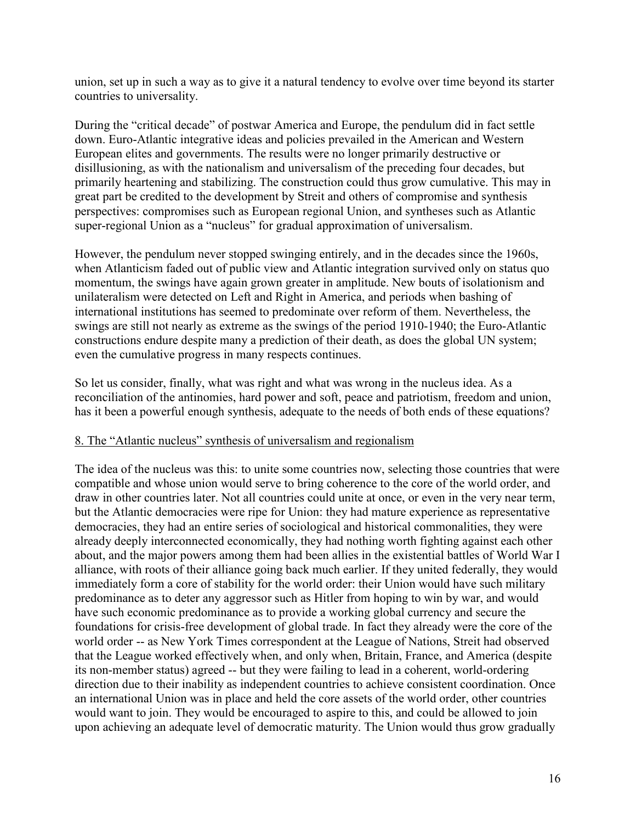union, set up in such a way as to give it a natural tendency to evolve over time beyond its starter countries to universality.

During the "critical decade" of postwar America and Europe, the pendulum did in fact settle down. Euro-Atlantic integrative ideas and policies prevailed in the American and Western European elites and governments. The results were no longer primarily destructive or disillusioning, as with the nationalism and universalism of the preceding four decades, but primarily heartening and stabilizing. The construction could thus grow cumulative. This may in great part be credited to the development by Streit and others of compromise and synthesis perspectives: compromises such as European regional Union, and syntheses such as Atlantic super-regional Union as a "nucleus" for gradual approximation of universalism.

However, the pendulum never stopped swinging entirely, and in the decades since the 1960s, when Atlanticism faded out of public view and Atlantic integration survived only on status quo momentum, the swings have again grown greater in amplitude. New bouts of isolationism and unilateralism were detected on Left and Right in America, and periods when bashing of international institutions has seemed to predominate over reform of them. Nevertheless, the swings are still not nearly as extreme as the swings of the period 1910-1940; the Euro-Atlantic constructions endure despite many a prediction of their death, as does the global UN system; even the cumulative progress in many respects continues.

So let us consider, finally, what was right and what was wrong in the nucleus idea. As a reconciliation of the antinomies, hard power and soft, peace and patriotism, freedom and union, has it been a powerful enough synthesis, adequate to the needs of both ends of these equations?

# 8. The "Atlantic nucleus" synthesis of universalism and regionalism

The idea of the nucleus was this: to unite some countries now, selecting those countries that were compatible and whose union would serve to bring coherence to the core of the world order, and draw in other countries later. Not all countries could unite at once, or even in the very near term, but the Atlantic democracies were ripe for Union: they had mature experience as representative democracies, they had an entire series of sociological and historical commonalities, they were already deeply interconnected economically, they had nothing worth fighting against each other about, and the major powers among them had been allies in the existential battles of World War I alliance, with roots of their alliance going back much earlier. If they united federally, they would immediately form a core of stability for the world order: their Union would have such military predominance as to deter any aggressor such as Hitler from hoping to win by war, and would have such economic predominance as to provide a working global currency and secure the foundations for crisis-free development of global trade. In fact they already were the core of the world order -- as New York Times correspondent at the League of Nations, Streit had observed that the League worked effectively when, and only when, Britain, France, and America (despite its non-member status) agreed -- but they were failing to lead in a coherent, world-ordering direction due to their inability as independent countries to achieve consistent coordination. Once an international Union was in place and held the core assets of the world order, other countries would want to join. They would be encouraged to aspire to this, and could be allowed to join upon achieving an adequate level of democratic maturity. The Union would thus grow gradually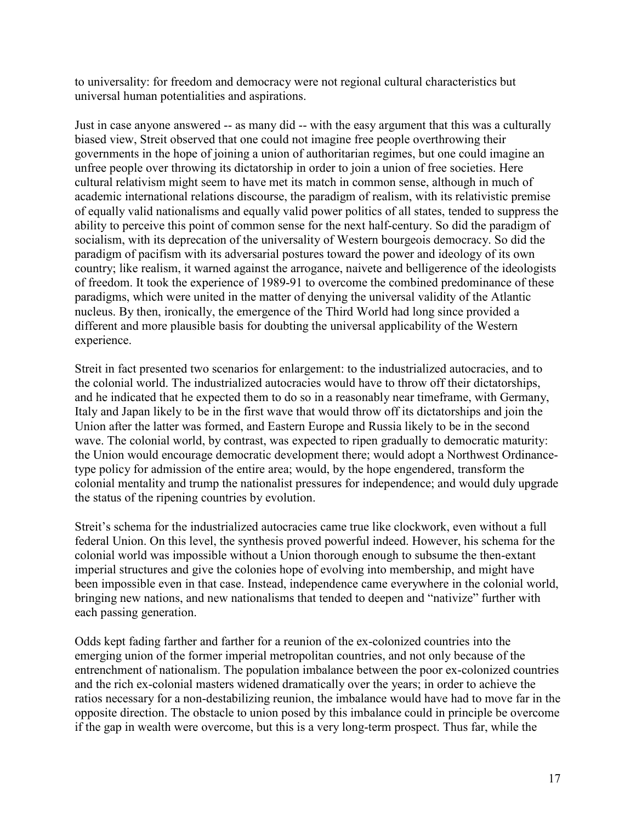to universality: for freedom and democracy were not regional cultural characteristics but universal human potentialities and aspirations.

Just in case anyone answered -- as many did -- with the easy argument that this was a culturally biased view, Streit observed that one could not imagine free people overthrowing their governments in the hope of joining a union of authoritarian regimes, but one could imagine an unfree people over throwing its dictatorship in order to join a union of free societies. Here cultural relativism might seem to have met its match in common sense, although in much of academic international relations discourse, the paradigm of realism, with its relativistic premise of equally valid nationalisms and equally valid power politics of all states, tended to suppress the ability to perceive this point of common sense for the next half-century. So did the paradigm of socialism, with its deprecation of the universality of Western bourgeois democracy. So did the paradigm of pacifism with its adversarial postures toward the power and ideology of its own country; like realism, it warned against the arrogance, naivete and belligerence of the ideologists of freedom. It took the experience of 1989-91 to overcome the combined predominance of these paradigms, which were united in the matter of denying the universal validity of the Atlantic nucleus. By then, ironically, the emergence of the Third World had long since provided a different and more plausible basis for doubting the universal applicability of the Western experience.

Streit in fact presented two scenarios for enlargement: to the industrialized autocracies, and to the colonial world. The industrialized autocracies would have to throw off their dictatorships, and he indicated that he expected them to do so in a reasonably near timeframe, with Germany, Italy and Japan likely to be in the first wave that would throw off its dictatorships and join the Union after the latter was formed, and Eastern Europe and Russia likely to be in the second wave. The colonial world, by contrast, was expected to ripen gradually to democratic maturity: the Union would encourage democratic development there; would adopt a Northwest Ordinancetype policy for admission of the entire area; would, by the hope engendered, transform the colonial mentality and trump the nationalist pressures for independence; and would duly upgrade the status of the ripening countries by evolution.

Streit's schema for the industrialized autocracies came true like clockwork, even without a full federal Union. On this level, the synthesis proved powerful indeed. However, his schema for the colonial world was impossible without a Union thorough enough to subsume the then-extant imperial structures and give the colonies hope of evolving into membership, and might have been impossible even in that case. Instead, independence came everywhere in the colonial world, bringing new nations, and new nationalisms that tended to deepen and "nativize" further with each passing generation.

Odds kept fading farther and farther for a reunion of the ex-colonized countries into the emerging union of the former imperial metropolitan countries, and not only because of the entrenchment of nationalism. The population imbalance between the poor ex-colonized countries and the rich ex-colonial masters widened dramatically over the years; in order to achieve the ratios necessary for a non-destabilizing reunion, the imbalance would have had to move far in the opposite direction. The obstacle to union posed by this imbalance could in principle be overcome if the gap in wealth were overcome, but this is a very long-term prospect. Thus far, while the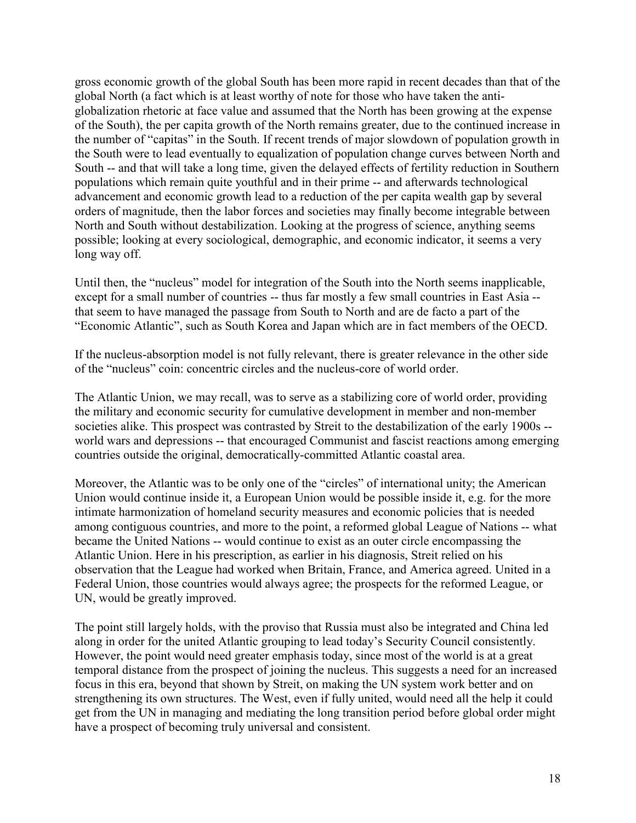gross economic growth of the global South has been more rapid in recent decades than that of the global North (a fact which is at least worthy of note for those who have taken the antiglobalization rhetoric at face value and assumed that the North has been growing at the expense of the South), the per capita growth of the North remains greater, due to the continued increase in the number of "capitas" in the South. If recent trends of major slowdown of population growth in the South were to lead eventually to equalization of population change curves between North and South -- and that will take a long time, given the delayed effects of fertility reduction in Southern populations which remain quite youthful and in their prime -- and afterwards technological advancement and economic growth lead to a reduction of the per capita wealth gap by several orders of magnitude, then the labor forces and societies may finally become integrable between North and South without destabilization. Looking at the progress of science, anything seems possible; looking at every sociological, demographic, and economic indicator, it seems a very long way off.

Until then, the "nucleus" model for integration of the South into the North seems inapplicable, except for a small number of countries -- thus far mostly a few small countries in East Asia -that seem to have managed the passage from South to North and are de facto a part of the "Economic Atlantic", such as South Korea and Japan which are in fact members of the OECD.

If the nucleus-absorption model is not fully relevant, there is greater relevance in the other side of the "nucleus" coin: concentric circles and the nucleus-core of world order.

The Atlantic Union, we may recall, was to serve as a stabilizing core of world order, providing the military and economic security for cumulative development in member and non-member societies alike. This prospect was contrasted by Streit to the destabilization of the early 1900s - world wars and depressions -- that encouraged Communist and fascist reactions among emerging countries outside the original, democratically-committed Atlantic coastal area.

Moreover, the Atlantic was to be only one of the "circles" of international unity; the American Union would continue inside it, a European Union would be possible inside it, e.g. for the more intimate harmonization of homeland security measures and economic policies that is needed among contiguous countries, and more to the point, a reformed global League of Nations -- what became the United Nations -- would continue to exist as an outer circle encompassing the Atlantic Union. Here in his prescription, as earlier in his diagnosis, Streit relied on his observation that the League had worked when Britain, France, and America agreed. United in a Federal Union, those countries would always agree; the prospects for the reformed League, or UN, would be greatly improved.

The point still largely holds, with the proviso that Russia must also be integrated and China led along in order for the united Atlantic grouping to lead today's Security Council consistently. However, the point would need greater emphasis today, since most of the world is at a great temporal distance from the prospect of joining the nucleus. This suggests a need for an increased focus in this era, beyond that shown by Streit, on making the UN system work better and on strengthening its own structures. The West, even if fully united, would need all the help it could get from the UN in managing and mediating the long transition period before global order might have a prospect of becoming truly universal and consistent.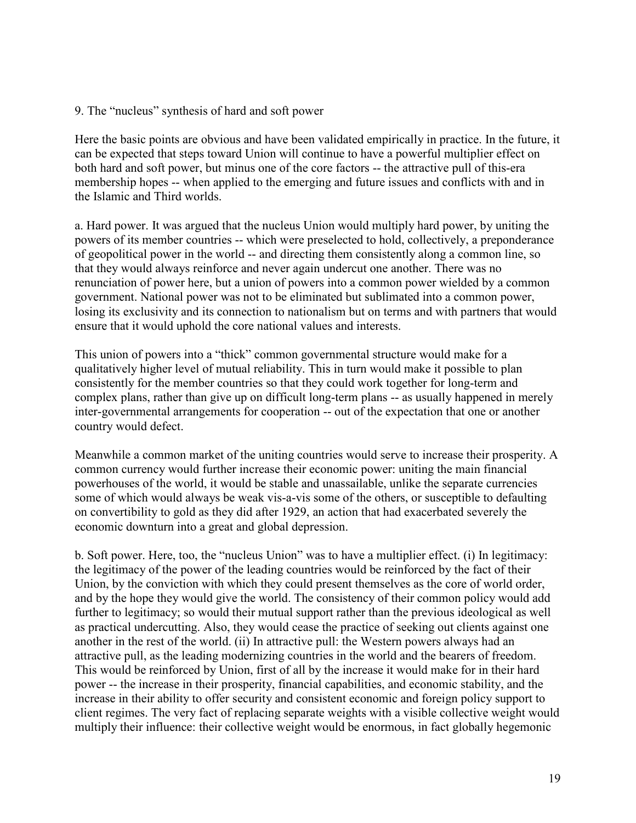9. The "nucleus" synthesis of hard and soft power

Here the basic points are obvious and have been validated empirically in practice. In the future, it can be expected that steps toward Union will continue to have a powerful multiplier effect on both hard and soft power, but minus one of the core factors -- the attractive pull of this-era membership hopes -- when applied to the emerging and future issues and conflicts with and in the Islamic and Third worlds.

a. Hard power. It was argued that the nucleus Union would multiply hard power, by uniting the powers of its member countries -- which were preselected to hold, collectively, a preponderance of geopolitical power in the world -- and directing them consistently along a common line, so that they would always reinforce and never again undercut one another. There was no renunciation of power here, but a union of powers into a common power wielded by a common government. National power was not to be eliminated but sublimated into a common power, losing its exclusivity and its connection to nationalism but on terms and with partners that would ensure that it would uphold the core national values and interests.

This union of powers into a "thick" common governmental structure would make for a qualitatively higher level of mutual reliability. This in turn would make it possible to plan consistently for the member countries so that they could work together for long-term and complex plans, rather than give up on difficult long-term plans -- as usually happened in merely inter-governmental arrangements for cooperation -- out of the expectation that one or another country would defect.

Meanwhile a common market of the uniting countries would serve to increase their prosperity. A common currency would further increase their economic power: uniting the main financial powerhouses of the world, it would be stable and unassailable, unlike the separate currencies some of which would always be weak vis-a-vis some of the others, or susceptible to defaulting on convertibility to gold as they did after 1929, an action that had exacerbated severely the economic downturn into a great and global depression.

b. Soft power. Here, too, the "nucleus Union" was to have a multiplier effect. (i) In legitimacy: the legitimacy of the power of the leading countries would be reinforced by the fact of their Union, by the conviction with which they could present themselves as the core of world order, and by the hope they would give the world. The consistency of their common policy would add further to legitimacy; so would their mutual support rather than the previous ideological as well as practical undercutting. Also, they would cease the practice of seeking out clients against one another in the rest of the world. (ii) In attractive pull: the Western powers always had an attractive pull, as the leading modernizing countries in the world and the bearers of freedom. This would be reinforced by Union, first of all by the increase it would make for in their hard power -- the increase in their prosperity, financial capabilities, and economic stability, and the increase in their ability to offer security and consistent economic and foreign policy support to client regimes. The very fact of replacing separate weights with a visible collective weight would multiply their influence: their collective weight would be enormous, in fact globally hegemonic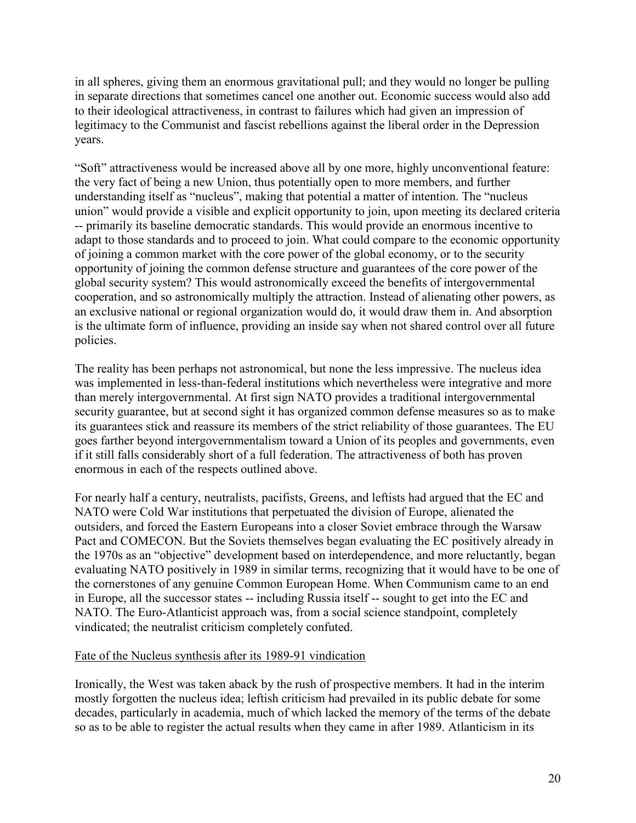in all spheres, giving them an enormous gravitational pull; and they would no longer be pulling in separate directions that sometimes cancel one another out. Economic success would also add to their ideological attractiveness, in contrast to failures which had given an impression of legitimacy to the Communist and fascist rebellions against the liberal order in the Depression years.

"Soft" attractiveness would be increased above all by one more, highly unconventional feature: the very fact of being a new Union, thus potentially open to more members, and further understanding itself as "nucleus", making that potential a matter of intention. The "nucleus union" would provide a visible and explicit opportunity to join, upon meeting its declared criteria -- primarily its baseline democratic standards. This would provide an enormous incentive to adapt to those standards and to proceed to join. What could compare to the economic opportunity of joining a common market with the core power of the global economy, or to the security opportunity of joining the common defense structure and guarantees of the core power of the global security system? This would astronomically exceed the benefits of intergovernmental cooperation, and so astronomically multiply the attraction. Instead of alienating other powers, as an exclusive national or regional organization would do, it would draw them in. And absorption is the ultimate form of influence, providing an inside say when not shared control over all future policies.

The reality has been perhaps not astronomical, but none the less impressive. The nucleus idea was implemented in less-than-federal institutions which nevertheless were integrative and more than merely intergovernmental. At first sign NATO provides a traditional intergovernmental security guarantee, but at second sight it has organized common defense measures so as to make its guarantees stick and reassure its members of the strict reliability of those guarantees. The EU goes farther beyond intergovernmentalism toward a Union of its peoples and governments, even if it still falls considerably short of a full federation. The attractiveness of both has proven enormous in each of the respects outlined above.

For nearly half a century, neutralists, pacifists, Greens, and leftists had argued that the EC and NATO were Cold War institutions that perpetuated the division of Europe, alienated the outsiders, and forced the Eastern Europeans into a closer Soviet embrace through the Warsaw Pact and COMECON. But the Soviets themselves began evaluating the EC positively already in the 1970s as an "objective" development based on interdependence, and more reluctantly, began evaluating NATO positively in 1989 in similar terms, recognizing that it would have to be one of the cornerstones of any genuine Common European Home. When Communism came to an end in Europe, all the successor states -- including Russia itself -- sought to get into the EC and NATO. The Euro-Atlanticist approach was, from a social science standpoint, completely vindicated; the neutralist criticism completely confuted.

### Fate of the Nucleus synthesis after its 1989-91 vindication

Ironically, the West was taken aback by the rush of prospective members. It had in the interim mostly forgotten the nucleus idea; leftish criticism had prevailed in its public debate for some decades, particularly in academia, much of which lacked the memory of the terms of the debate so as to be able to register the actual results when they came in after 1989. Atlanticism in its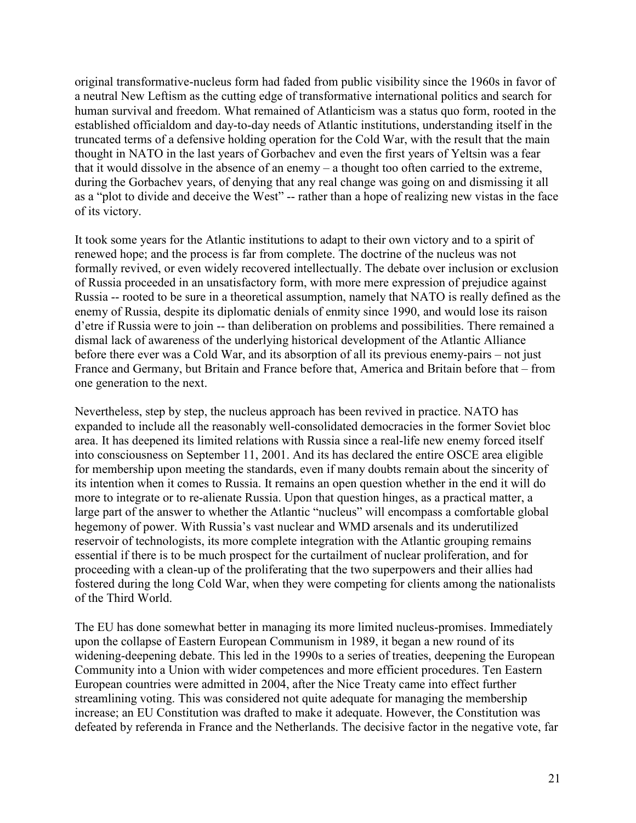original transformative-nucleus form had faded from public visibility since the 1960s in favor of a neutral New Leftism as the cutting edge of transformative international politics and search for human survival and freedom. What remained of Atlanticism was a status quo form, rooted in the established officialdom and day-to-day needs of Atlantic institutions, understanding itself in the truncated terms of a defensive holding operation for the Cold War, with the result that the main thought in NATO in the last years of Gorbachev and even the first years of Yeltsin was a fear that it would dissolve in the absence of an enemy – a thought too often carried to the extreme, during the Gorbachev years, of denying that any real change was going on and dismissing it all as a "plot to divide and deceive the West" -- rather than a hope of realizing new vistas in the face of its victory.

It took some years for the Atlantic institutions to adapt to their own victory and to a spirit of renewed hope; and the process is far from complete. The doctrine of the nucleus was not formally revived, or even widely recovered intellectually. The debate over inclusion or exclusion of Russia proceeded in an unsatisfactory form, with more mere expression of prejudice against Russia -- rooted to be sure in a theoretical assumption, namely that NATO is really defined as the enemy of Russia, despite its diplomatic denials of enmity since 1990, and would lose its raison d'etre if Russia were to join -- than deliberation on problems and possibilities. There remained a dismal lack of awareness of the underlying historical development of the Atlantic Alliance before there ever was a Cold War, and its absorption of all its previous enemy-pairs – not just France and Germany, but Britain and France before that, America and Britain before that – from one generation to the next.

Nevertheless, step by step, the nucleus approach has been revived in practice. NATO has expanded to include all the reasonably well-consolidated democracies in the former Soviet bloc area. It has deepened its limited relations with Russia since a real-life new enemy forced itself into consciousness on September 11, 2001. And its has declared the entire OSCE area eligible for membership upon meeting the standards, even if many doubts remain about the sincerity of its intention when it comes to Russia. It remains an open question whether in the end it will do more to integrate or to re-alienate Russia. Upon that question hinges, as a practical matter, a large part of the answer to whether the Atlantic "nucleus" will encompass a comfortable global hegemony of power. With Russia's vast nuclear and WMD arsenals and its underutilized reservoir of technologists, its more complete integration with the Atlantic grouping remains essential if there is to be much prospect for the curtailment of nuclear proliferation, and for proceeding with a clean-up of the proliferating that the two superpowers and their allies had fostered during the long Cold War, when they were competing for clients among the nationalists of the Third World.

The EU has done somewhat better in managing its more limited nucleus-promises. Immediately upon the collapse of Eastern European Communism in 1989, it began a new round of its widening-deepening debate. This led in the 1990s to a series of treaties, deepening the European Community into a Union with wider competences and more efficient procedures. Ten Eastern European countries were admitted in 2004, after the Nice Treaty came into effect further streamlining voting. This was considered not quite adequate for managing the membership increase; an EU Constitution was drafted to make it adequate. However, the Constitution was defeated by referenda in France and the Netherlands. The decisive factor in the negative vote, far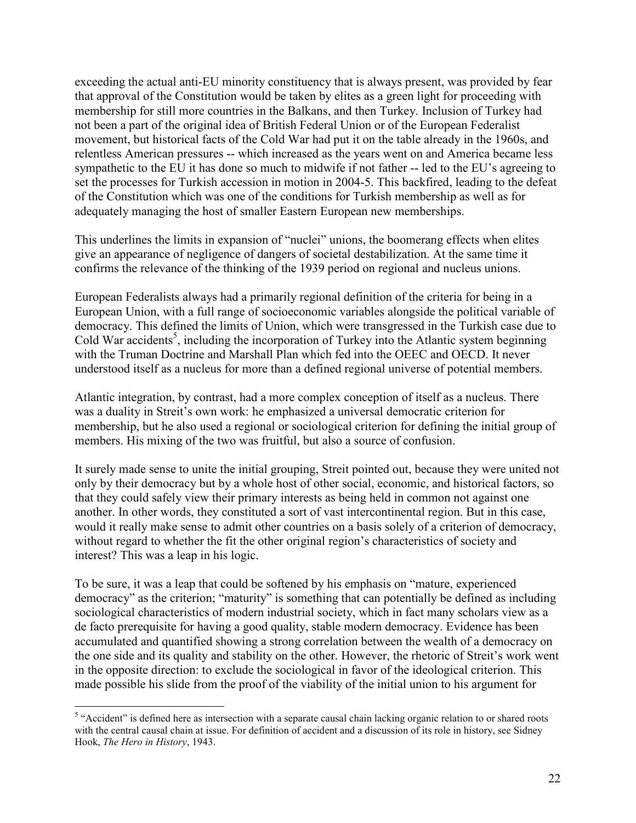exceeding the actual anti-EU minority constituency that is always present, was provided by fear that approval of the Constitution would be taken by elites as a green light for proceeding with membership for still more countries in the Balkans, and then Turkey. Inclusion of Turkey had not been a part of the original idea of British Federal Union or of the European Federalist movement, but historical facts of the Cold War had put it on the table already in the 1960s, and relentless American pressures -- which increased as the years went on and America became less sympathetic to the EU it has done so much to midwife if not father -- led to the EU's agreeing to set the processes for Turkish accession in motion in 2004-5. This backfired, leading to the defeat of the Constitution which was one of the conditions for Turkish membership as well as for adequately managing the host of smaller Eastern European new memberships.

This underlines the limits in expansion of "nuclei" unions, the boomerang effects when elites give an appearance of negligence of dangers of societal destabilization. At the same time it confirms the relevance of the thinking of the 1939 period on regional and nucleus unions.

European Federalists always had a primarily regional definition of the criteria for being in a European Union, with a full range of socioeconomic variables alongside the political variable of democracy. This defined the limits of Union, which were transgressed in the Turkish case due to Cold War accidents<sup>5</sup>, including the incorporation of Turkey into the Atlantic system beginning with the Truman Doctrine and Marshall Plan which fed into the OEEC and OECD. It never understood itself as a nucleus for more than a defined regional universe of potential members.

Atlantic integration, by contrast, had a more complex conception of itself as a nucleus. There was a duality in Streit's own work: he emphasized a universal democratic criterion for membership, but he also used a regional or sociological criterion for defining the initial group of members. His mixing of the two was fruitful, but also a source of confusion.

It surely made sense to unite the initial grouping, Streit pointed out, because they were united not only by their democracy but by a whole host of other social, economic, and historical factors, so that they could safely view their primary interests as being held in common not against one another. In other words, they constituted a sort of vast intercontinental region. But in this case, would it really make sense to admit other countries on a basis solely of a criterion of democracy, without regard to whether the fit the other original region's characteristics of society and interest? This was a leap in his logic.

To be sure, it was a leap that could be softened by his emphasis on "mature, experienced democracy" as the criterion; "maturity" is something that can potentially be defined as including sociological characteristics of modern industrial society, which in fact many scholars view as a de facto prerequisite for having a good quality, stable modern democracy. Evidence has been accumulated and quantified showing a strong correlation between the wealth of a democracy on the one side and its quality and stability on the other. However, the rhetoric of Streit's work went in the opposite direction: to exclude the sociological in favor of the ideological criterion. This made possible his slide from the proof of the viability of the initial union to his argument for

<sup>&</sup>lt;sup>5</sup> "Accident" is defined here as intersection with a separate causal chain lacking organic relation to or shared roots with the central causal chain at issue. For definition of accident and a discussion of its role in history, see Sidney Hook, *The Hero in History*, 1943.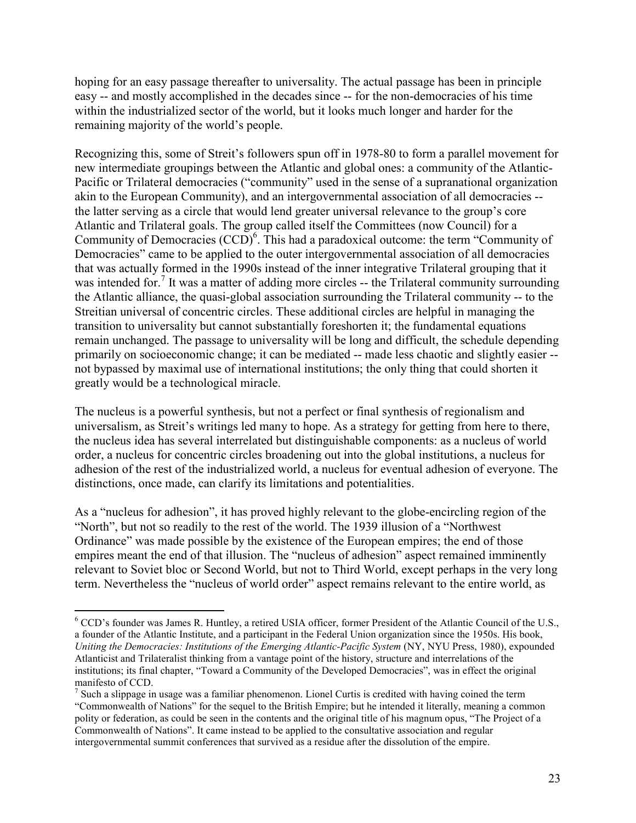hoping for an easy passage thereafter to universality. The actual passage has been in principle easy -- and mostly accomplished in the decades since -- for the non-democracies of his time within the industrialized sector of the world, but it looks much longer and harder for the remaining majority of the world's people.

Recognizing this, some of Streit's followers spun off in 1978-80 to form a parallel movement for new intermediate groupings between the Atlantic and global ones: a community of the Atlantic-Pacific or Trilateral democracies ("community" used in the sense of a supranational organization akin to the European Community), and an intergovernmental association of all democracies - the latter serving as a circle that would lend greater universal relevance to the group's core Atlantic and Trilateral goals. The group called itself the Committees (now Council) for a Community of Democracies  $(CCD)^6$ . This had a paradoxical outcome: the term "Community of Democracies" came to be applied to the outer intergovernmental association of all democracies that was actually formed in the 1990s instead of the inner integrative Trilateral grouping that it was intended for.<sup>7</sup> It was a matter of adding more circles -- the Trilateral community surrounding the Atlantic alliance, the quasi-global association surrounding the Trilateral community -- to the Streitian universal of concentric circles. These additional circles are helpful in managing the transition to universality but cannot substantially foreshorten it; the fundamental equations remain unchanged. The passage to universality will be long and difficult, the schedule depending primarily on socioeconomic change; it can be mediated -- made less chaotic and slightly easier - not bypassed by maximal use of international institutions; the only thing that could shorten it greatly would be a technological miracle.

The nucleus is a powerful synthesis, but not a perfect or final synthesis of regionalism and universalism, as Streit's writings led many to hope. As a strategy for getting from here to there, the nucleus idea has several interrelated but distinguishable components: as a nucleus of world order, a nucleus for concentric circles broadening out into the global institutions, a nucleus for adhesion of the rest of the industrialized world, a nucleus for eventual adhesion of everyone. The distinctions, once made, can clarify its limitations and potentialities.

As a "nucleus for adhesion", it has proved highly relevant to the globe-encircling region of the "North", but not so readily to the rest of the world. The 1939 illusion of a "Northwest Ordinance" was made possible by the existence of the European empires; the end of those empires meant the end of that illusion. The "nucleus of adhesion" aspect remained imminently relevant to Soviet bloc or Second World, but not to Third World, except perhaps in the very long term. Nevertheless the "nucleus of world order" aspect remains relevant to the entire world, as

-

<sup>&</sup>lt;sup>6</sup> CCD's founder was James R. Huntley, a retired USIA officer, former President of the Atlantic Council of the U.S., a founder of the Atlantic Institute, and a participant in the Federal Union organization since the 1950s. His book, *Uniting the Democracies: Institutions of the Emerging Atlantic-Pacific System* (NY, NYU Press, 1980), expounded Atlanticist and Trilateralist thinking from a vantage point of the history, structure and interrelations of the institutions; its final chapter, "Toward a Community of the Developed Democracies", was in effect the original manifesto of CCD.

 $<sup>7</sup>$  Such a slippage in usage was a familiar phenomenon. Lionel Curtis is credited with having coined the term</sup> "Commonwealth of Nations" for the sequel to the British Empire; but he intended it literally, meaning a common polity or federation, as could be seen in the contents and the original title of his magnum opus, "The Project of a Commonwealth of Nations". It came instead to be applied to the consultative association and regular intergovernmental summit conferences that survived as a residue after the dissolution of the empire.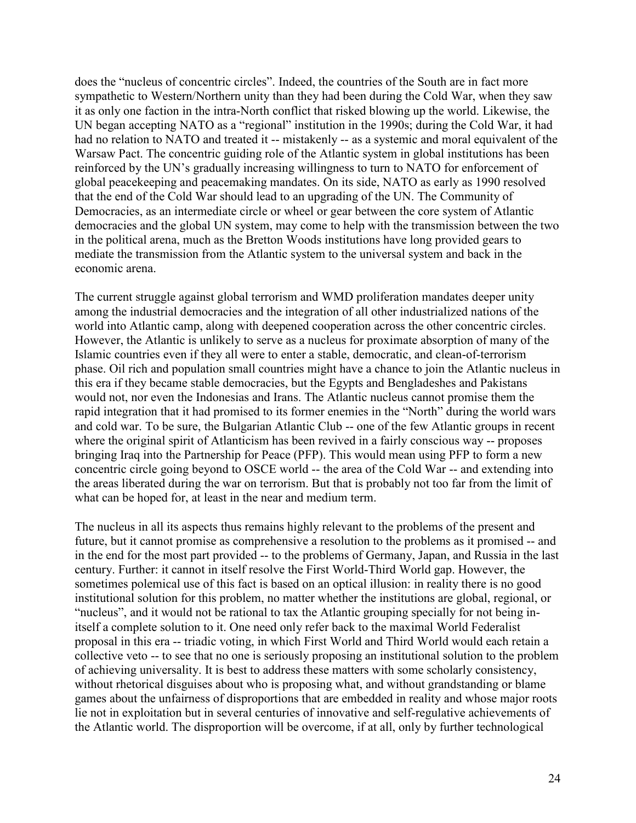does the "nucleus of concentric circles". Indeed, the countries of the South are in fact more sympathetic to Western/Northern unity than they had been during the Cold War, when they saw it as only one faction in the intra-North conflict that risked blowing up the world. Likewise, the UN began accepting NATO as a "regional" institution in the 1990s; during the Cold War, it had had no relation to NATO and treated it -- mistakenly -- as a systemic and moral equivalent of the Warsaw Pact. The concentric guiding role of the Atlantic system in global institutions has been reinforced by the UN's gradually increasing willingness to turn to NATO for enforcement of global peacekeeping and peacemaking mandates. On its side, NATO as early as 1990 resolved that the end of the Cold War should lead to an upgrading of the UN. The Community of Democracies, as an intermediate circle or wheel or gear between the core system of Atlantic democracies and the global UN system, may come to help with the transmission between the two in the political arena, much as the Bretton Woods institutions have long provided gears to mediate the transmission from the Atlantic system to the universal system and back in the economic arena.

The current struggle against global terrorism and WMD proliferation mandates deeper unity among the industrial democracies and the integration of all other industrialized nations of the world into Atlantic camp, along with deepened cooperation across the other concentric circles. However, the Atlantic is unlikely to serve as a nucleus for proximate absorption of many of the Islamic countries even if they all were to enter a stable, democratic, and clean-of-terrorism phase. Oil rich and population small countries might have a chance to join the Atlantic nucleus in this era if they became stable democracies, but the Egypts and Bengladeshes and Pakistans would not, nor even the Indonesias and Irans. The Atlantic nucleus cannot promise them the rapid integration that it had promised to its former enemies in the "North" during the world wars and cold war. To be sure, the Bulgarian Atlantic Club -- one of the few Atlantic groups in recent where the original spirit of Atlanticism has been revived in a fairly conscious way -- proposes bringing Iraq into the Partnership for Peace (PFP). This would mean using PFP to form a new concentric circle going beyond to OSCE world -- the area of the Cold War -- and extending into the areas liberated during the war on terrorism. But that is probably not too far from the limit of what can be hoped for, at least in the near and medium term.

The nucleus in all its aspects thus remains highly relevant to the problems of the present and future, but it cannot promise as comprehensive a resolution to the problems as it promised -- and in the end for the most part provided -- to the problems of Germany, Japan, and Russia in the last century. Further: it cannot in itself resolve the First World-Third World gap. However, the sometimes polemical use of this fact is based on an optical illusion: in reality there is no good institutional solution for this problem, no matter whether the institutions are global, regional, or "nucleus", and it would not be rational to tax the Atlantic grouping specially for not being initself a complete solution to it. One need only refer back to the maximal World Federalist proposal in this era -- triadic voting, in which First World and Third World would each retain a collective veto -- to see that no one is seriously proposing an institutional solution to the problem of achieving universality. It is best to address these matters with some scholarly consistency, without rhetorical disguises about who is proposing what, and without grandstanding or blame games about the unfairness of disproportions that are embedded in reality and whose major roots lie not in exploitation but in several centuries of innovative and self-regulative achievements of the Atlantic world. The disproportion will be overcome, if at all, only by further technological